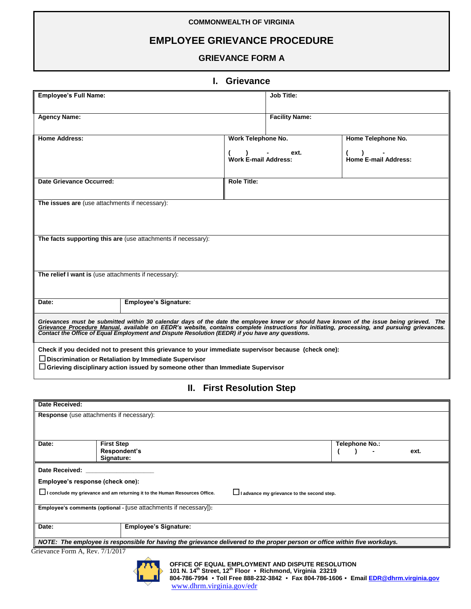#### **COMMONWEALTH OF VIRGINIA**

# **EMPLOYEE GRIEVANCE PROCEDURE**

#### **GRIEVANCE FORM A**

### **I. Grievance**

| <b>Employee's Full Name:</b>                                                                                                                                                                                                                                                                                                                                                               |                              | <b>Job Title:</b>           |                       |                             |  |
|--------------------------------------------------------------------------------------------------------------------------------------------------------------------------------------------------------------------------------------------------------------------------------------------------------------------------------------------------------------------------------------------|------------------------------|-----------------------------|-----------------------|-----------------------------|--|
| <b>Agency Name:</b>                                                                                                                                                                                                                                                                                                                                                                        |                              |                             | <b>Facility Name:</b> |                             |  |
| <b>Home Address:</b>                                                                                                                                                                                                                                                                                                                                                                       |                              | Work Telephone No.          | Home Telephone No.    |                             |  |
|                                                                                                                                                                                                                                                                                                                                                                                            |                              | <b>Work E-mail Address:</b> | ext.                  | <b>Home E-mail Address:</b> |  |
| Date Grievance Occurred:                                                                                                                                                                                                                                                                                                                                                                   |                              | <b>Role Title:</b>          |                       |                             |  |
| The issues are (use attachments if necessary):                                                                                                                                                                                                                                                                                                                                             |                              |                             |                       |                             |  |
| The facts supporting this are (use attachments if necessary):                                                                                                                                                                                                                                                                                                                              |                              |                             |                       |                             |  |
| The relief I want is (use attachments if necessary):                                                                                                                                                                                                                                                                                                                                       |                              |                             |                       |                             |  |
| Date:                                                                                                                                                                                                                                                                                                                                                                                      | <b>Employee's Signature:</b> |                             |                       |                             |  |
| Grievances must be submitted within 30 calendar days of the date the employee knew or should have known of the issue being grieved. The<br>Grievance Procedure Manual, available on EEDR's website, contains complete instructions for initiating, processing, and pursuing grievances.<br>Contact the Office of Equal Employment and Dispute Resolution (EEDR) if you have any questions. |                              |                             |                       |                             |  |
| Check if you decided not to present this grievance to your immediate supervisor because (check one):<br>Discrimination or Retaliation by Immediate Supervisor<br>Grieving disciplinary action issued by someone other than Immediate Supervisor                                                                                                                                            |                              |                             |                       |                             |  |

## **II. First Resolution Step**

| Date Received:                                                                                                            |                              |                |  |  |  |
|---------------------------------------------------------------------------------------------------------------------------|------------------------------|----------------|--|--|--|
| Response (use attachments if necessary):                                                                                  |                              |                |  |  |  |
|                                                                                                                           |                              |                |  |  |  |
|                                                                                                                           |                              |                |  |  |  |
| Date:                                                                                                                     | <b>First Step</b>            | Telephone No.: |  |  |  |
|                                                                                                                           | Respondent's                 | ext.           |  |  |  |
|                                                                                                                           | Signature:                   |                |  |  |  |
| Date Received:                                                                                                            |                              |                |  |  |  |
| Employee's response (check one):                                                                                          |                              |                |  |  |  |
| I conclude my grievance and am returning it to the Human Resources Office.<br>I advance my grievance to the second step.  |                              |                |  |  |  |
|                                                                                                                           |                              |                |  |  |  |
| Employee's comments (optional - [use attachments if necessary]):                                                          |                              |                |  |  |  |
|                                                                                                                           |                              |                |  |  |  |
| Date:                                                                                                                     | <b>Employee's Signature:</b> |                |  |  |  |
| NOTE: The employee is responsible for having the grievance delivered to the proper person or office within five workdays. |                              |                |  |  |  |

Grievance Form A, Rev. 7/1/2017